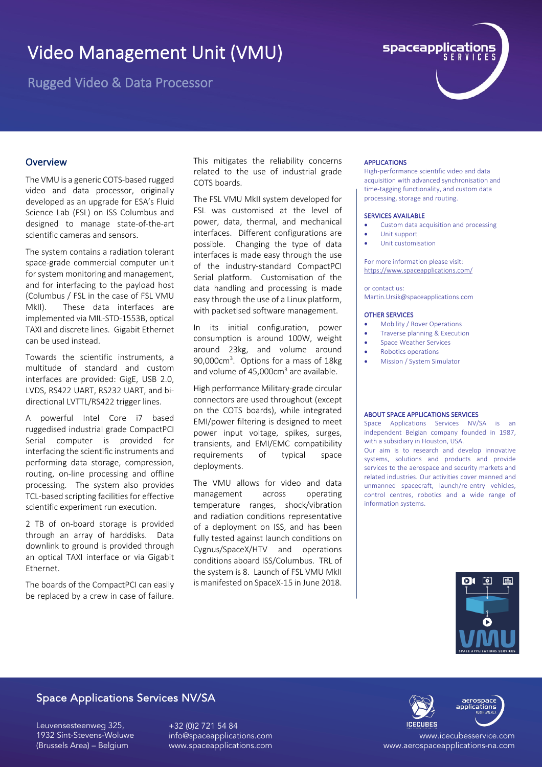# Video Management Unit (VMU)

Rugged Video & Data Processor



## **Overview**

The VMU is a generic COTS-based rugged video and data processor, originally developed as an upgrade for ESA's Fluid Science Lab (FSL) on ISS Columbus and designed to manage state-of-the-art scientific cameras and sensors.

The system contains a radiation tolerant space-grade commercial computer unit for system monitoring and management, and for interfacing to the payload host (Columbus / FSL in the case of FSL VMU MkII). These data interfaces are implemented via MIL-STD-1553B, optical TAXI and discrete lines. Gigabit Ethernet can be used instead.

Towards the scientific instruments, a multitude of standard and custom interfaces are provided: GigE, USB 2.0, LVDS, RS422 UART, RS232 UART, and bidirectional LVTTL/RS422 trigger lines.

A powerful Intel Core i7 based ruggedised industrial grade CompactPCI Serial computer is provided for interfacing the scientific instruments and performing data storage, compression, routing, on-line processing and offline processing. The system also provides TCL-based scripting facilities for effective scientific experiment run execution.

2 TB of on-board storage is provided through an array of harddisks. Data downlink to ground is provided through an optical TAXI interface or via Gigabit Ethernet.

The boards of the CompactPCI can easily be replaced by a crew in case of failure.

This mitigates the reliability concerns related to the use of industrial grade COTS boards.

The FSL VMU MkII system developed for FSL was customised at the level of power, data, thermal, and mechanical interfaces. Different configurations are possible. Changing the type of data interfaces is made easy through the use of the industry-standard CompactPCI Serial platform. Customisation of the data handling and processing is made easy through the use of a Linux platform, with packetised software management.

In its initial configuration, power consumption is around 100W, weight around 23kg, and volume around 90,000cm<sup>3</sup>. Options for a mass of 18kg and volume of 45,000cm<sup>3</sup> are available.

High performance Military-grade circular connectors are used throughout (except on the COTS boards), while integrated EMI/power filtering is designed to meet power input voltage, spikes, surges, transients, and EMI/EMC compatibility requirements of typical space deployments.

The VMU allows for video and data management across operating temperature ranges, shock/vibration and radiation conditions representative of a deployment on ISS, and has been fully tested against launch conditions on Cygnus/SpaceX/HTV and operations conditions aboard ISS/Columbus. TRL of the system is 8. Launch of FSL VMU MkII is manifested on SpaceX-15 in June 2018.

#### APPLICATIONS

High-performance scientific video and data acquisition with advanced synchronisation and time-tagging functionality, and custom data processing, storage and routing.

#### SERVICES AVAILABLE

- Custom data acquisition and processing
- Unit support
- Unit customisation

For more information please visit: https://www.spaceapplications.com/

or contact us: Martin.Ursik@spaceapplications.com

#### OTHER SERVICES

- Mobility / Rover Operations
- Traverse planning & Execution
- Space Weather Services
- Robotics operations
- Mission / System Simulator

#### ABOUT SPACE APPLICATIONS SERVICES

Space Applications Services NV/SA is an independent Belgian company founded in 1987, with a subsidiary in Houston, USA.

Our aim is to research and develop innovative systems, solutions and products and provide services to the aerospace and security markets and related industries. Our activities cover manned and unmanned spacecraft, launch/re-entry vehicles, control centres, robotics and a wide range of information systems.



## Space Applications Services NV/SA

Leuvensesteenweg 325, 1932 Sint-Stevens-Woluwe (Brussels Area) – Belgium

+32 (0)2 721 54 84 info@spaceapplications.com www.spaceapplications.com



www.icecubesservice.com www.aerospaceapplications-na.com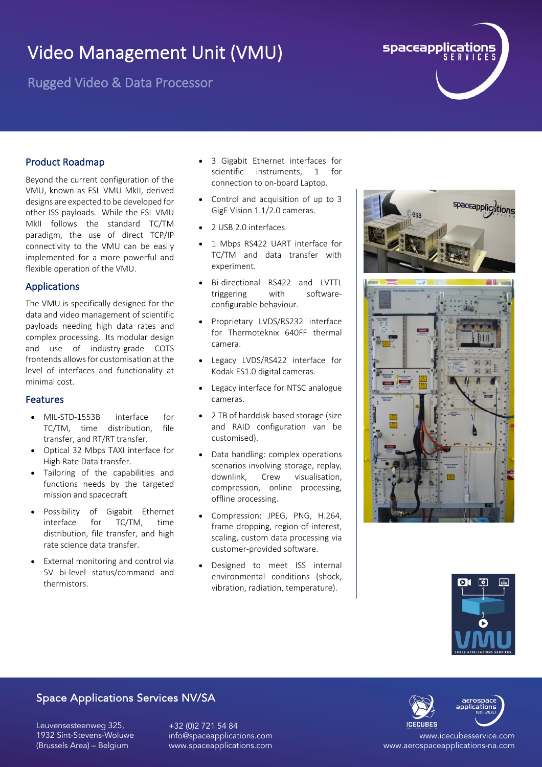# Video Management Unit (VMU)

Rugged Video & Data Processor



## Product Roadmap

Beyond the current configuration of the VMU, known as FSL VMU MkII, derived designs are expected to be developed for other ISS payloads. While the FSL VMU MkII follows the standard TC/TM paradigm, the use of direct TCP/IP connectivity to the VMU can be easily implemented for a more powerful and flexible operation of the VMU.

## Applications

The VMU is specifically designed for the data and video management of scientific payloads needing high data rates and complex processing. Its modular design and use of industry-grade COTS frontends allows for customisation at the level of interfaces and functionality at minimal cost.

## Features

- MIL-STD-1553B interface for TC/TM, time distribution, file transfer, and RT/RT transfer.
- Optical 32 Mbps TAXI interface for High Rate Data transfer.
- Tailoring of the capabilities and functions needs by the targeted mission and spacecraft
- Possibility of Gigabit Ethernet interface for TC/TM, time distribution, file transfer, and high rate science data transfer.
- **External monitoring and control via** 5V bi-level status/command and thermistors.
- 3 Gigabit Ethernet interfaces for scientific instruments, 1 for connection to on-board Laptop.
- Control and acquisition of up to 3 GigE Vision 1.1/2.0 cameras.
- 2 USB 2.0 interfaces.
- 1 Mbps RS422 UART interface for TC/TM and data transfer with experiment.
- Bi-directional RS422 and LVTTL triggering with softwareconfigurable behaviour.
- Proprietary LVDS/RS232 interface for Thermoteknix 640FF thermal camera.
- Legacy LVDS/RS422 interface for Kodak ES1.0 digital cameras.
- Legacy interface for NTSC analogue cameras.
- 2 TB of harddisk-based storage (size and RAID configuration van be customised).
- Data handling: complex operations scenarios involving storage, replay, downlink, Crew visualisation, compression, online processing, offline processing.
- Compression: JPEG, PNG, H.264, frame dropping, region-of-interest, scaling, custom data processing via customer-provided software.
- Designed to meet ISS internal environmental conditions (shock, vibration, radiation, temperature).





## Space Applications Services NV/SA

Leuvensesteenweg 325, 1932 Sint-Stevens-Woluwe (Brussels Area) – Belgium

+32 (0)2 721 54 84 info@spaceapplications.com www.spaceapplications.com



www.icecubesservice.com www.aerospaceapplications-na.com